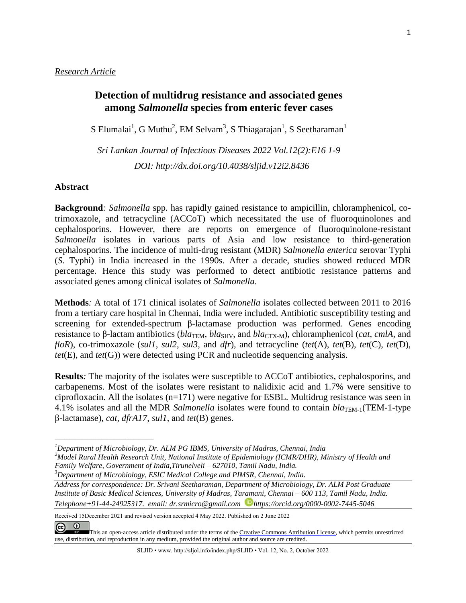# **Detection of multidrug resistance and associated genes among** *Salmonella* **species from enteric fever cases**

S Elumalai<sup>1</sup>, G Muthu<sup>2</sup>, EM Selvam<sup>3</sup>, S Thiagarajan<sup>1</sup>, S Seetharaman<sup>1</sup>

*Sri Lankan Journal of Infectious Diseases 2022 Vol.12(2):E16 1-9 DOI: [http://dx.doi.org/1](about:blank)0.4038/sljid.v12i2.8436* 

### **Abstract**

**Background***: Salmonella* spp. has rapidly gained resistance to ampicillin, chloramphenicol, cotrimoxazole, and tetracycline (ACCoT) which necessitated the use of fluoroquinolones and cephalosporins. However, there are reports on emergence of fluoroquinolone-resistant *Salmonella* isolates in various parts of Asia and low resistance to third-generation cephalosporins. The incidence of multi-drug resistant (MDR) *Salmonella enterica* serovar Typhi (*S*. Typhi) in India increased in the 1990s. After a decade, studies showed reduced MDR percentage. Hence this study was performed to detect antibiotic resistance patterns and associated genes among clinical isolates of *Salmonella*.

**Methods***:* A total of 171 clinical isolates of *Salmonella* isolates collected between 2011 to 2016 from a tertiary care hospital in Chennai, India were included. Antibiotic susceptibility testing and screening for extended-spectrum β-lactamase production was performed. Genes encoding resistance to β-lactam antibiotics (*bla*<sub>TEM</sub>, *bla*<sub>SHV</sub>, and *bla*<sub>CTX-M</sub>), chloramphenicol (*cat*, *cmlA*, and *floR*), co-trimoxazole (*sul1*, *sul2*, *sul3*, and *dfr*), and tetracycline (*tet*(A), *tet*(B), *tet*(C), *tet*(D), *tet*(E), and *tet*(G)) were detected using PCR and nucleotide sequencing analysis.

**Results***:* The majority of the isolates were susceptible to ACCoT antibiotics, cephalosporins, and carbapenems. Most of the isolates were resistant to nalidixic acid and 1.7% were sensitive to ciprofloxacin. All the isolates (n=171) were negative for ESBL. Multidrug resistance was seen in 4.1% isolates and all the MDR *Salmonella* isolates were found to contain *bla*TEM-1(TEM-1-type β-lactamase), *cat*, *dfrA17*, *sul1*, and *tet*(B) genes.

*<sup>3</sup>Department of Microbiology, ESIC Medical College and PIMSR, Chennai, India.* 

*\_\_\_\_\_\_\_\_\_\_\_\_\_\_\_\_\_\_\_\_\_\_\_\_\_\_\_\_\_\_\_\_\_\_\_\_\_\_\_\_* 

Received 15December 2021 and revised version accepted 4 May 2022. Published on 2 June 2022

SLJID • www. http://sljol.info/index.php/SLJID • Vol. 12, No. 2, October 2022

*<sup>1</sup>Department of Microbiology, Dr. ALM PG IBMS, University of Madras, Chennai, India* 

*<sup>2</sup>Model Rural Health Research Unit, National Institute of Epidemiology (ICMR/DHR), Ministry of Health and Family Welfare, Government of India,Tirunelveli – 627010, Tamil Nadu, India.* 

*Address for correspondence: Dr. Srivani Seetharaman, Department of Microbiology, Dr. ALM Post Graduate Institute of Basic Medical Sciences, University of Madras, Taramani, Chennai – 600 113, Tamil Nadu, India. Telephone+91-44-24925317. email: dr.srmicro@gmail.com https://orcid.org/0000-0002-7445-5046* 

 $\left( \widehat{cc} \right)$ [T](https://creativecommons.org/licenses/by/4.0/)his an open-access article distributed under the terms of the [Creative Commons Attribution License](https://creativecommons.org/licenses/by/4.0/), which permits unrestricted use, distribution, and reproduction in any medium, provided the original author and source are credited.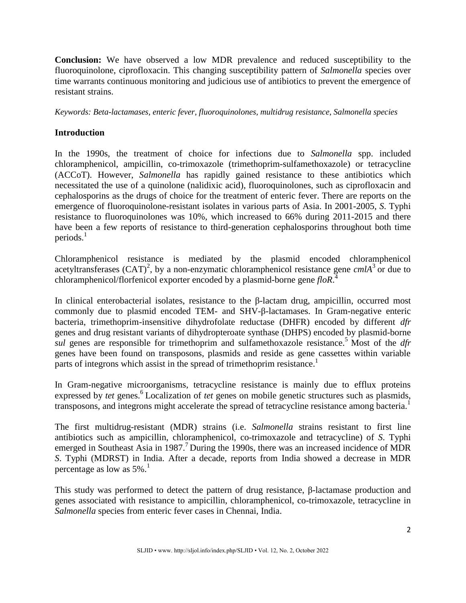**Conclusion:** We have observed a low MDR prevalence and reduced susceptibility to the fluoroquinolone, ciprofloxacin. This changing susceptibility pattern of *Salmonella* species over time warrants continuous monitoring and judicious use of antibiotics to prevent the emergence of resistant strains.

*Keywords: Beta-lactamases, enteric fever, fluoroquinolones, multidrug resistance, Salmonella species*

## **Introduction**

In the 1990s, the treatment of choice for infections due to *Salmonella* spp. included chloramphenicol, ampicillin, co-trimoxazole (trimethoprim-sulfamethoxazole) or tetracycline (ACCoT). However, *Salmonella* has rapidly gained resistance to these antibiotics which necessitated the use of a quinolone (nalidixic acid), fluoroquinolones, such as ciprofloxacin and cephalosporins as the drugs of choice for the treatment of enteric fever. There are reports on the emergence of fluoroquinolone-resistant isolates in various parts of Asia. In 2001-2005, *S*. Typhi resistance to fluoroquinolones was 10%, which increased to 66% during 2011-2015 and there have been a few reports of resistance to third-generation cephalosporins throughout both time periods. 1

Chloramphenicol resistance is mediated by the plasmid encoded chloramphenicol acetyltransferases  $(CAT)^2$ , by a non-enzymatic chloramphenicol resistance gene *cmlA*<sup>3</sup> or due to chloramphenicol/florfenicol exporter encoded by a plasmid-borne gene *floR*. 4

In clinical enterobacterial isolates, resistance to the β-lactam drug, ampicillin, occurred most commonly due to plasmid encoded TEM- and SHV-β-lactamases. In Gram-negative enteric bacteria, trimethoprim-insensitive dihydrofolate reductase (DHFR) encoded by different *dfr* genes and drug resistant variants of dihydropteroate synthase (DHPS) encoded by plasmid-borne *sul* genes are responsible for trimethoprim and sulfamethoxazole resistance. <sup>5</sup> Most of the *dfr* genes have been found on transposons, plasmids and reside as gene cassettes within variable parts of integrons which assist in the spread of trimethoprim resistance.<sup>1</sup>

In Gram-negative microorganisms, tetracycline resistance is mainly due to efflux proteins expressed by *tet* genes.<sup>6</sup> Localization of *tet* genes on mobile genetic structures such as plasmids, transposons, and integrons might accelerate the spread of tetracycline resistance among bacteria.<sup>1</sup>

The first multidrug-resistant (MDR) strains (i.e. *Salmonella* strains resistant to first line antibiotics such as ampicillin, chloramphenicol, co-trimoxazole and tetracycline) of *S*. Typhi emerged in Southeast Asia in 1987.<sup>7</sup> During the 1990s, there was an increased incidence of MDR *S*. Typhi (MDRST) in India. After a decade, reports from India showed a decrease in MDR percentage as low as 5%.<sup>1</sup>

This study was performed to detect the pattern of drug resistance, β-lactamase production and genes associated with resistance to ampicillin, chloramphenicol, co-trimoxazole, tetracycline in *Salmonella* species from enteric fever cases in Chennai, India.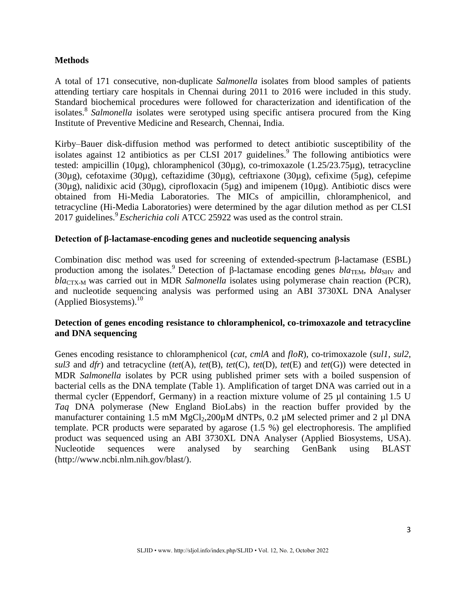## **Methods**

A total of 171 consecutive, non-duplicate *Salmonella* isolates from blood samples of patients attending tertiary care hospitals in Chennai during 2011 to 2016 were included in this study. Standard biochemical procedures were followed for characterization and identification of the isolates. 8 *Salmonella* isolates were serotyped using specific antisera procured from the King Institute of Preventive Medicine and Research, Chennai, India.

Kirby–Bauer disk-diffusion method was performed to detect antibiotic susceptibility of the isolates against 12 antibiotics as per CLSI 2017 guidelines.<sup>9</sup> The following antibiotics were tested: ampicillin (10µg), chloramphenicol (30µg), co-trimoxazole (1.25/23.75µg), tetracycline (30µg), cefotaxime (30µg), ceftazidime (30µg), ceftriaxone (30µg), cefixime (5µg), cefepime (30µg), nalidixic acid (30µg), ciprofloxacin (5µg) and imipenem (10µg). Antibiotic discs were obtained from Hi-Media Laboratories. The MICs of ampicillin, chloramphenicol, and tetracycline (Hi-Media Laboratories) were determined by the agar dilution method as per CLSI 2017 guidelines. 9 *Escherichia coli* ATCC 25922 was used as the control strain.

### **Detection of β-lactamase-encoding genes and nucleotide sequencing analysis**

Combination disc method was used for screening of extended-spectrum β-lactamase (ESBL) production among the isolates.<sup>9</sup> Detection of β-lactamase encoding genes *bla*TEM, *bla*SHV and *bla*<sub>CTX-M</sub> was carried out in MDR *Salmonella* isolates using polymerase chain reaction (PCR), and nucleotide sequencing analysis was performed using an ABI 3730XL DNA Analyser (Applied Biosystems). 10

## **Detection of genes encoding resistance to chloramphenicol, co-trimoxazole and tetracycline and DNA sequencing**

Genes encoding resistance to chloramphenicol (*cat*, *cmlA* and *floR*), co-trimoxazole (*sul1*, *sul2*, *sul3* and *dfr*) and tetracycline (*tet*(A), *tet*(B), *tet*(C), *tet*(D), *tet*(E) and *tet*(G)) were detected in MDR *Salmonella* isolates by PCR using published primer sets with a boiled suspension of bacterial cells as the DNA template (Table 1). Amplification of target DNA was carried out in a thermal cycler (Eppendorf, Germany) in a reaction mixture volume of 25 µl containing 1.5 U *Taq* DNA polymerase (New England BioLabs) in the reaction buffer provided by the manufacturer containing 1.5 mM MgCl<sub>2</sub>,200 $\mu$ M dNTPs, 0.2  $\mu$ M selected primer and 2  $\mu$ l DNA template. PCR products were separated by agarose (1.5 %) gel electrophoresis. The amplified product was sequenced using an ABI 3730XL DNA Analyser (Applied Biosystems, USA). Nucleotide sequences were analysed by searching GenBank using BLAST (http://www.ncbi.nlm.nih.gov/blast/).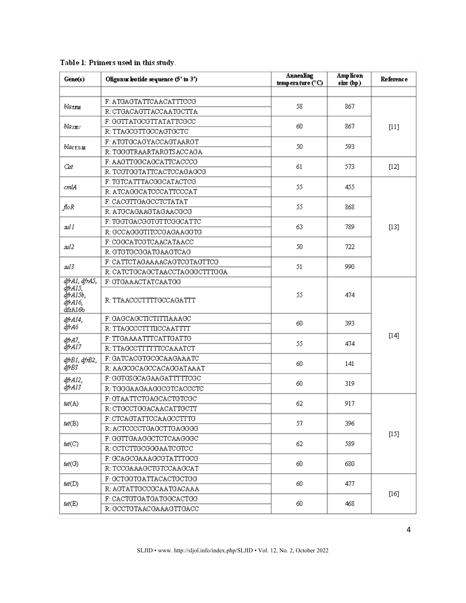| Gene(s)                                   | Oligonuc leotide sequence (5' to 3') | <b>Annealing</b><br>temperature $(^{\circ}C)$ | Amp licon<br>$size$ (bp) | Reference |
|-------------------------------------------|--------------------------------------|-----------------------------------------------|--------------------------|-----------|
| Ыатт                                      | F: ATGAGTATTCAACATTTCCG              | 58                                            | 867                      | $[11]$    |
|                                           | R: CTGACAGTTACCAATGCTTA              |                                               |                          |           |
| blas $_{\rm EU}$                          | F: GGTTATGCGTTATATTCGCC              | 60                                            | 867                      |           |
|                                           | R: TTAGCGTTGCCAGTGCTC                |                                               |                          |           |
| blactx-M                                  | F: ATGTGCAGYACCAGTAARGT              | 50                                            | 593                      |           |
|                                           | R: TGGGTRAARTARGTSACCAGA             |                                               |                          |           |
| Cat                                       | F: AAGTTGGCAGCATTCACCCG              | 61                                            | 573                      | $[12]$    |
|                                           | R: TCGTGGTATTCACTCCAGAGCG            |                                               |                          |           |
| cmlA                                      | F: TGTCATTTACGGCATACTCG              | 55                                            | 455                      | $[13]$    |
|                                           | R: ATCAGGCATCCCATTCCCAT              |                                               |                          |           |
|                                           | F: CACGTTGAGCCTCTATAT                | 55                                            | 868                      |           |
| floR                                      | R: ATGCAGAAGTAGAACGCG                |                                               |                          |           |
| sıl I                                     | F: TGGTGACGGTGTTCGGCATTC             | 63                                            | 789                      |           |
|                                           | R: GCCAGGGTITCCGAGAAGGTG             |                                               |                          |           |
| sıl2                                      | F: CGGCATCGTCAACATAACC               | 50                                            | 722                      |           |
|                                           | R: GTGTGCGGATGAAGTCAG                |                                               |                          |           |
| sıl3                                      | F: CATTCTAGAAAACAGTCGTAGTTCG         | 51                                            | 990                      |           |
|                                           | R: CATCTGCAGCTAACCTAGGGCTTTGGA       |                                               |                          |           |
| dfrAl, dfrA5,                             | F: GTGAAACTATCAATGG                  |                                               | 474                      | $[14]$    |
| dfrAI5,<br>ăfrAI5b,<br>dfrA16,<br>dfrA16b | R: TTAACCCTTTTGCCAGATTT              | 55                                            |                          |           |
| dfrA14,                                   | F: GAGCAGCTICTITTIAAAGC              |                                               | 393                      |           |
| dfrA6                                     | R: TTAGCCCTTTIICCAATTTT              | 60                                            |                          |           |
| dfrA7,<br>dfrA17                          | F: TTGAAAATTTCATTGATTG               |                                               | 474                      |           |
|                                           | R: TTAGCCTTTTTTCCAAATCT              | 55                                            |                          |           |
| dfrB1, dfrB2,<br>dfrB3                    | F: GATCACGTGCGCAAGAAATC              |                                               | 141                      |           |
|                                           | R: AAGCGCAGCCACAGGATAAAT             | 60                                            |                          |           |
| dfrA12,<br>dfrA13                         | F: GGTGSGCAGAAGATTTTTCGC             |                                               | 319                      |           |
|                                           | R: TGGGAAGAAGGCGTCACCCTC             | 60                                            |                          |           |
| tet(A)                                    | F: GTAATTCTGAGCACTGTCGC              |                                               | 917                      | $[15]$    |
|                                           | R: CTGCCTGGACAACATTGCTT              | 62                                            |                          |           |
| tet(B)                                    | F: CTCAGTATTCCAAGCCTTTG              |                                               | 396                      |           |
|                                           | R: ACTCCCCTGAGCTTGAGGGG              | 57                                            |                          |           |
| tet(C)                                    | F: GGTTGAAGGCTCTCAAGGGC              |                                               | 589                      |           |
|                                           | R: CCTCTTGCGGGAATCGTCC               | 62                                            |                          |           |
| tet(G)                                    | F: GCAGCGAAAGCGTATTTGCG              |                                               | 680                      |           |
|                                           | R: TCCGAAAGCTGTCCAAGCAT              | 60                                            |                          |           |
| tet(D)                                    | F: GCTGGTGATTACACTGCTGG              |                                               | 477                      | $[16]$    |
|                                           | R: AGTATTGCCGCAATGACAAA              | 60                                            |                          |           |
|                                           | F: CACTGTGATGATGGCACTGG              |                                               | 468                      |           |
| tet $(E)$                                 | R: GCCTGTAACGAAAGTTGACC              | 60                                            |                          |           |

## Table 1: Primers used in this study.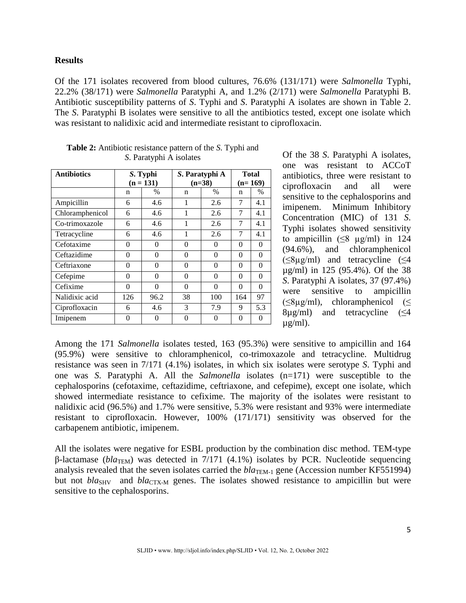### **Results**

Of the 171 isolates recovered from blood cultures, 76.6% (131/171) were *Salmonella* Typhi, 22.2% (38/171) were *Salmonella* Paratyphi A, and 1.2% (2/171) were *Salmonella* Paratyphi B. Antibiotic susceptibility patterns of *S*. Typhi and *S*. Paratyphi A isolates are shown in Table 2. The *S*. Paratyphi B isolates were sensitive to all the antibiotics tested, except one isolate which was resistant to nalidixic acid and intermediate resistant to ciprofloxacin.

| <b>Antibiotics</b> | S. Typhi<br>$(n = 131)$ |          | S. Paratyphi A<br>$(n=38)$ |              | <b>Total</b><br>$(n=169)$ |               |
|--------------------|-------------------------|----------|----------------------------|--------------|---------------------------|---------------|
|                    | n                       | $\%$     | n                          | $\%$         | n                         | $\frac{0}{0}$ |
| Ampicillin         | 6                       | 4.6      | 1                          | 2.6          | 7                         | 4.1           |
| Chloramphenicol    | 6                       | 4.6      | 1                          | 2.6          | 7                         | 4.1           |
| Co-trimoxazole     | 6                       | 4.6      | 1                          | 2.6          | 7                         | 4.1           |
| Tetracycline       | 6                       | 4.6      | 1                          | 2.6          | 7                         | 4.1           |
| Cefotaxime         | $\Omega$                | 0        | $\theta$                   | 0            | 0                         | $\Omega$      |
| Ceftazidime        | 0                       | $\Omega$ | $\theta$                   | 0            | 0                         | 0             |
| Ceftriaxone        | $\Omega$                | $\Omega$ | $\theta$                   | $\Omega$     | 0                         | 0             |
| Cefepime           | 0                       | $\Omega$ | $\theta$                   | $\Omega$     | 0                         | $\theta$      |
| Cefixime           | $\theta$                | $\theta$ | $\Omega$                   | $\Omega$     | $\Omega$                  | $\Omega$      |
| Nalidixic acid     | 126                     | 96.2     | 38                         | 100          | 164                       | 97            |
| Ciprofloxacin      | 6                       | 4.6      | 3                          | 7.9          | 9                         | 5.3           |
| Imipenem           | 0                       | 0        | 0                          | $\mathbf{0}$ | 0                         | 0             |

**Table 2:** Antibiotic resistance pattern of the *S*. Typhi and *S*. Paratyphi A isolates

Of the 38 *S*. Paratyphi A isolates, one was resistant to ACCoT antibiotics, three were resistant to ciprofloxacin and all were sensitive to the cephalosporins and imipenem. Minimum Inhibitory Concentration (MIC) of 131 *S*. Typhi isolates showed sensitivity to ampicillin ( $\leq 8$  µg/ml) in 124 (94.6%), and chloramphenicol ( $\leq$ 8µg/ml) and tetracycline ( $\leq$ 4 µg/ml) in 125 (95.4%). Of the 38 *S*. Paratyphi A isolates, 37 (97.4%) were sensitive to ampicillin  $(\leq 8\mu g/ml)$ , chloramphenicol ( $\leq$  $8\mu g/ml$ ) and tetracycline ( $\leq 4$ )  $\mu$ g/ml).

Among the 171 *Salmonella* isolates tested, 163 (95.3%) were sensitive to ampicillin and 164 (95.9%) were sensitive to chloramphenicol, co-trimoxazole and tetracycline. Multidrug resistance was seen in 7/171 (4.1%) isolates, in which six isolates were serotype *S*. Typhi and one was *S*. Paratyphi A. All the *Salmonella* isolates (n=171) were susceptible to the cephalosporins (cefotaxime, ceftazidime, ceftriaxone, and cefepime), except one isolate, which showed intermediate resistance to cefixime. The majority of the isolates were resistant to nalidixic acid (96.5%) and 1.7% were sensitive, 5.3% were resistant and 93% were intermediate resistant to ciprofloxacin. However, 100% (171/171) sensitivity was observed for the carbapenem antibiotic, imipenem.

All the isolates were negative for ESBL production by the combination disc method. TEM-type β-lactamase (*bla*TEM) was detected in 7/171 (4.1%) isolates by PCR. Nucleotide sequencing analysis revealed that the seven isolates carried the *bla*<sub>TEM-1</sub> gene (Accession number KF551994) but not *bla*<sub>SHV</sub> and *bla*<sub>CTX-M</sub> genes. The isolates showed resistance to ampicillin but were sensitive to the cephalosporins.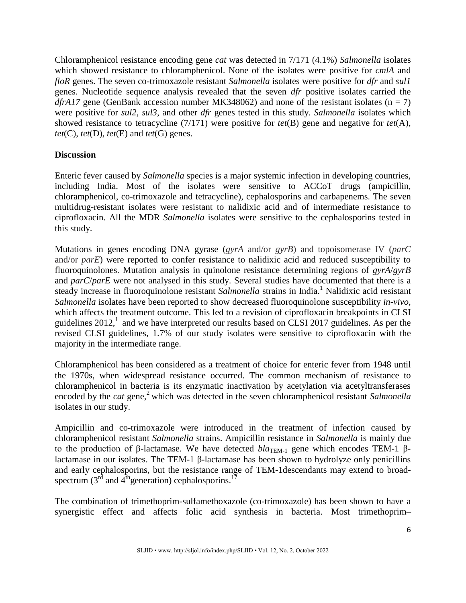Chloramphenicol resistance encoding gene *cat* was detected in 7/171 (4.1%) *Salmonella* isolates which showed resistance to chloramphenicol. None of the isolates were positive for *cmlA* and *floR* genes. The seven co-trimoxazole resistant *Salmonella* isolates were positive for *dfr* and *sul1* genes. Nucleotide sequence analysis revealed that the seven *dfr* positive isolates carried the *dfrA17* gene (GenBank accession number MK348062) and none of the resistant isolates (n = 7) were positive for *sul2*, *sul3*, and other *dfr* genes tested in this study. *Salmonella* isolates which showed resistance to tetracycline (7/171) were positive for *tet*(B) gene and negative for *tet*(A), *tet*(C), *tet*(D), *tet*(E) and *tet*(G) genes.

## **Discussion**

Enteric fever caused by *Salmonella* species is a major systemic infection in developing countries, including India. Most of the isolates were sensitive to ACCoT drugs (ampicillin, chloramphenicol, co-trimoxazole and tetracycline), cephalosporins and carbapenems. The seven multidrug-resistant isolates were resistant to nalidixic acid and of intermediate resistance to ciprofloxacin. All the MDR *Salmonella* isolates were sensitive to the cephalosporins tested in this study.

Mutations in genes encoding DNA gyrase (*gyrA* and/or *gyrB*) and topoisomerase IV (*parC* and/or *parE*) were reported to confer resistance to nalidixic acid and reduced susceptibility to fluoroquinolones. Mutation analysis in quinolone resistance determining regions of *gyrA*/*gyrB* and *parC*/*parE* were not analysed in this study. Several studies have documented that there is a steady increase in fluoroquinolone resistant *Salmonella* strains in India.<sup>1</sup> Nalidixic acid resistant *Salmonella* isolates have been reported to show decreased fluoroquinolone susceptibility *in-vivo,*  which affects the treatment outcome. This led to a revision of ciprofloxacin breakpoints in CLSI guidelines  $2012<sup>1</sup>$  and we have interpreted our results based on CLSI 2017 guidelines. As per the revised CLSI guidelines, 1.7% of our study isolates were sensitive to ciprofloxacin with the majority in the intermediate range.

Chloramphenicol has been considered as a treatment of choice for enteric fever from 1948 until the 1970s, when widespread resistance occurred. The common mechanism of resistance to chloramphenicol in bacteria is its enzymatic inactivation by acetylation via acetyltransferases encoded by the *cat* gene,<sup>2</sup> which was detected in the seven chloramphenicol resistant *Salmonella* isolates in our study.

Ampicillin and co-trimoxazole were introduced in the treatment of infection caused by chloramphenicol resistant *Salmonella* strains. Ampicillin resistance in *Salmonella* is mainly due to the production of β-lactamase. We have detected  $bla_{\text{TEM-1}}$  gene which encodes TEM-1 βlactamase in our isolates. The TEM-1 β-lactamase has been shown to hydrolyze only penicillins and early cephalosporins, but the resistance range of TEM-1descendants may extend to broadspectrum (3<sup>rd</sup> and  $4^{\text{th}}$  generation) cephalosporins.<sup>17</sup>

The combination of trimethoprim-sulfamethoxazole (co-trimoxazole) has been shown to have a synergistic effect and affects folic acid synthesis in bacteria. Most trimethoprim–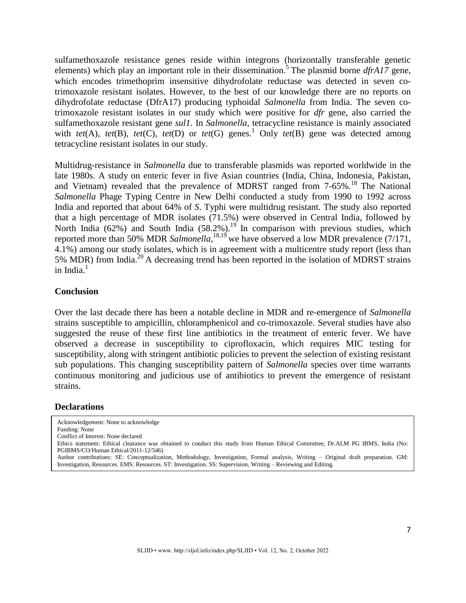sulfamethoxazole resistance genes reside within integrons (horizontally transferable genetic elements) which play an important role in their dissemination. 5 The plasmid borne *dfrA17* gene, which encodes trimethoprim insensitive dihydrofolate reductase was detected in seven cotrimoxazole resistant isolates. However, to the best of our knowledge there are no reports on dihydrofolate reductase (DfrA17) producing typhoidal *Salmonella* from India. The seven cotrimoxazole resistant isolates in our study which were positive for *dfr* gene, also carried the sulfamethoxazole resistant gene *sul1*. In *Salmonella*, tetracycline resistance is mainly associated with *tet*(A), *tet*(B), *tet*(C), *tet*(D) or *tet*(G) genes. <sup>1</sup> Only *tet*(B) gene was detected among tetracycline resistant isolates in our study.

Multidrug-resistance in *Salmonella* due to transferable plasmids was reported worldwide in the late 1980s. A study on enteric fever in five Asian countries (India, China, Indonesia, Pakistan, and Vietnam) revealed that the prevalence of MDRST ranged from 7-65%.<sup>18</sup> The National *Salmonella* Phage Typing Centre in New Delhi conducted a study from 1990 to 1992 across India and reported that about 64% of *S*. Typhi were multidrug resistant. The study also reported that a high percentage of MDR isolates (71.5%) were observed in Central India, followed by North India  $(62%)$  and South India  $(58.2%)$ .<sup>19</sup> In comparison with previous studies, which reported more than 50% MDR *Salmonella*, <sup>18,19</sup> we have observed a low MDR prevalence (7/171, 4.1%) among our study isolates, which is in agreement with a multicentre study report (less than 5% MDR) from India.<sup>20</sup> A decreasing trend has been reported in the isolation of MDRST strains in India. 1

### **Conclusion**

Over the last decade there has been a notable decline in MDR and re-emergence of *Salmonella* strains susceptible to ampicillin, chloramphenicol and co-trimoxazole. Several studies have also suggested the reuse of these first line antibiotics in the treatment of enteric fever. We have observed a decrease in susceptibility to ciprofloxacin, which requires MIC testing for susceptibility, along with stringent antibiotic policies to prevent the selection of existing resistant sub populations. This changing susceptibility pattern of *Salmonella* species over time warrants continuous monitoring and judicious use of antibiotics to prevent the emergence of resistant strains.

#### **Declarations**

Acknowledgement: None to acknowledge Funding: None Conflict of Interest: None declared Ethics statement: Ethical clearance was obtained to conduct this study from Human Ethical Committee, Dr.ALM PG IBMS, India (No: PGIBMS/CO/Human Ethical/2011-12/546) Author contributions: SE: Conceptualization, Methodology, Investigation, Formal analysis, Writing – Original draft preparation. GM: Investigation, Resources. EMS: Resources. ST: Investigation. SS: Supervision, Writing – Reviewing and Editing.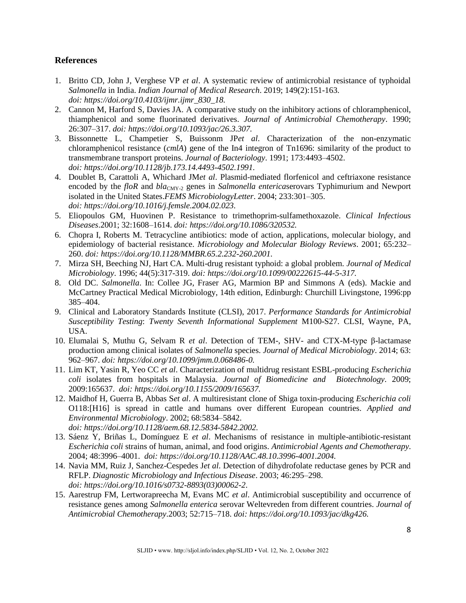## **References**

- 1. Britto CD, John J, Verghese VP *et al*. A systematic review of antimicrobial resistance of typhoidal *Salmonella* in India. *Indian Journal of Medical Research*. 2019; 149(2):151-163. *doi: https://doi.org/10.4103/ijmr.ijmr\_830\_18.*
- 2. Cannon M, Harford S, Davies JA. A comparative study on the inhibitory actions of chloramphenicol, thiamphenicol and some fluorinated derivatives. *Journal of Antimicrobial Chemotherapy*. 1990; 26:307–317. *doi: https://doi.org/10.1093/jac/26.3.307.*
- 3. Bissonnette L, Champetier S, Buissonm JP*et al*. Characterization of the non-enzymatic chloramphenicol resistance (*cmlA*) gene of the In4 integron of Tn1696: similarity of the product to transmembrane transport proteins. *Journal of Bacteriology*. 1991; 173:4493–4502. *doi: https://doi.org/10.1128/jb.173.14.4493-4502.1991.*
- 4. Doublet B, Carattoli A, Whichard JM*et al*. Plasmid-mediated florfenicol and ceftriaxone resistance encoded by the *floR* and *bla*<sub>CMY-2</sub> genes in *Salmonella entericaserovars* Typhimurium and Newport isolated in the United States.*FEMS MicrobiologyLetter*. 2004; 233:301–305. *doi: https://doi.org/10.1016/j.femsle.2004.02.023.*
- 5. Eliopoulos GM, Huovinen P. Resistance to trimethoprim-sulfamethoxazole. *Clinical Infectious Diseases*.2001; 32:1608–1614. *doi: https://doi.org/10.1086/320532.*
- 6. Chopra I, Roberts M. Tetracycline antibiotics: mode of action, applications, molecular biology, and epidemiology of bacterial resistance. *Microbiology and Molecular Biology Reviews*. 2001; 65:232– 260. *doi: https://doi.org/10.1128/MMBR.65.2.232-260.2001.*
- 7. Mirza SH, Beeching NJ, Hart CA. Multi-drug resistant typhoid: a global problem. *Journal of Medical Microbiology*. 1996; 44(5):317-319. *doi: https://doi.org/10.1099/00222615-44-5-317.*
- 8. Old DC. *Salmonella*. In: Collee JG, Fraser AG, Marmion BP and Simmons A (eds). Mackie and McCartney Practical Medical Microbiology, 14th edition, Edinburgh: Churchill Livingstone, 1996:pp 385–404.
- 9. Clinical and Laboratory Standards Institute (CLSI), 2017. *Performance Standards for Antimicrobial Susceptibility Testing*: *Twenty Seventh Informational Supplement* M100-S27. CLSI, Wayne, PA, USA.
- 10. Elumalai S, Muthu G, Selvam R *et al*. Detection of TEM-, SHV- and CTX-M-type β-lactamase production among clinical isolates of *Salmonella* species. *Journal of Medical Microbiology*. 2014; 63: 962–967. *doi: https://doi.org/10.1099/jmm.0.068486-0.*
- 11. Lim KT, Yasin R, Yeo CC *et al*. Characterization of multidrug resistant ESBL-producing *Escherichia coli* isolates from hospitals in Malaysia. *Journal of Biomedicine and Biotechnology*. 2009; 2009:165637. *doi: https://doi.org/10.1155/2009/165637.*
- 12. Maidhof H, Guerra B, Abbas S*et al*. A multiresistant clone of Shiga toxin-producing *Escherichia coli*  O118:[H16] is spread in cattle and humans over different European countries. *Applied and Environmental Microbiology*. 2002; 68:5834–5842. *doi: https://doi.org/10.1128/aem.68.12.5834-5842.2002.*
- 13. Sáenz Y, Briñas L, Domínguez E *et al*. Mechanisms of resistance in multiple-antibiotic-resistant *Escherichia coli* strains of human, animal, and food origins. *Antimicrobial Agents and Chemotherapy*. 2004; 48:3996–4001. *doi: https://doi.org/10.1128/AAC.48.10.3996-4001.2004.*
- 14. Navia MM, Ruiz J, Sanchez-Cespedes J*et al*. Detection of dihydrofolate reductase genes by PCR and RFLP. *Diagnostic Microbiology and Infectious Disease*. 2003; 46:295–298. *doi: https://doi.org/10.1016/s0732-8893(03)00062-2*.
- 15. Aarestrup FM, Lertworapreecha M, Evans MC *et al*. Antimicrobial susceptibility and occurrence of resistance genes among *Salmonella enterica* serovar Weltevreden from different countries. *Journal of Antimicrobial Chemotherapy*.2003; 52:715–718. *doi: https://doi.org/10.1093/jac/dkg426.*